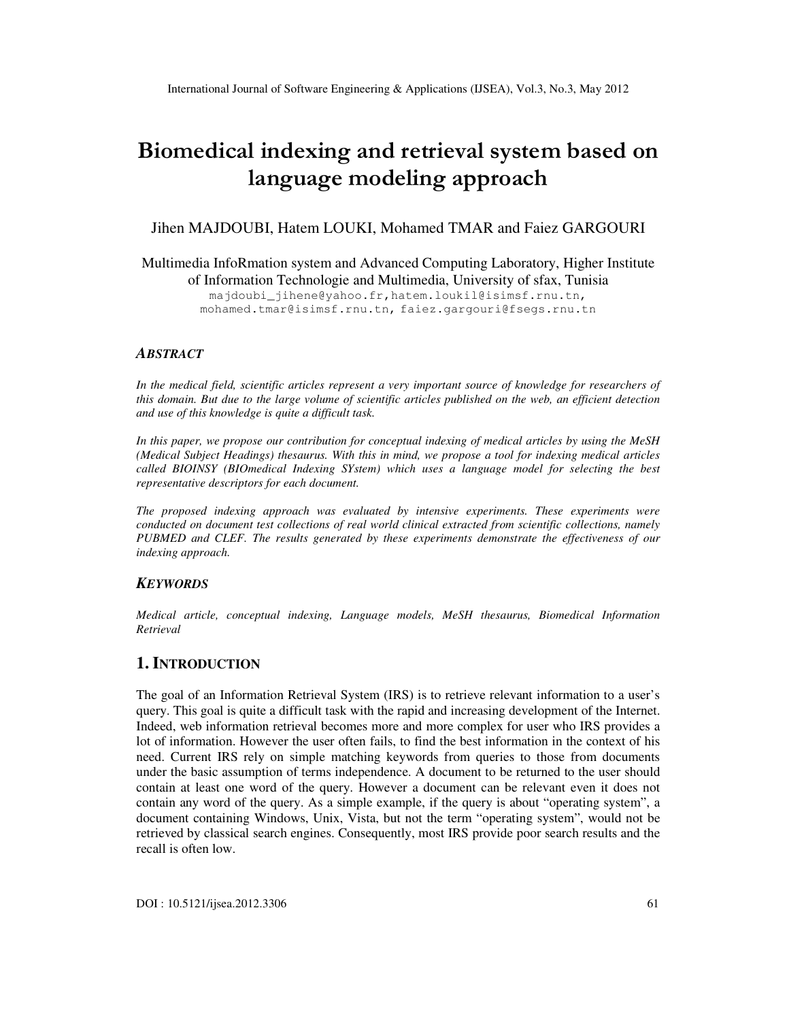# Biomedical indexing and retrieval system based on language modeling approach

Jihen MAJDOUBI, Hatem LOUKI, Mohamed TMAR and Faiez GARGOURI

Multimedia InfoRmation system and Advanced Computing Laboratory, Higher Institute of Information Technologie and Multimedia, University of sfax, Tunisia

majdoubi\_jihene@yahoo.fr,hatem.loukil@isimsf.rnu.tn, mohamed.tmar@isimsf.rnu.tn, faiez.gargouri@fsegs.rnu.tn

#### *ABSTRACT*

*In the medical field, scientific articles represent a very important source of knowledge for researchers of this domain. But due to the large volume of scientific articles published on the web, an efficient detection and use of this knowledge is quite a difficult task.* 

*In this paper, we propose our contribution for conceptual indexing of medical articles by using the MeSH (Medical Subject Headings) thesaurus. With this in mind, we propose a tool for indexing medical articles called BIOINSY (BIOmedical Indexing SYstem) which uses a language model for selecting the best representative descriptors for each document.* 

*The proposed indexing approach was evaluated by intensive experiments. These experiments were conducted on document test collections of real world clinical extracted from scientific collections, namely PUBMED and CLEF. The results generated by these experiments demonstrate the effectiveness of our indexing approach.* 

#### *KEYWORDS*

*Medical article, conceptual indexing, Language models, MeSH thesaurus, Biomedical Information Retrieval* 

#### **1. INTRODUCTION**

The goal of an Information Retrieval System (IRS) is to retrieve relevant information to a user's query. This goal is quite a difficult task with the rapid and increasing development of the Internet. Indeed, web information retrieval becomes more and more complex for user who IRS provides a lot of information. However the user often fails, to find the best information in the context of his need. Current IRS rely on simple matching keywords from queries to those from documents under the basic assumption of terms independence. A document to be returned to the user should contain at least one word of the query. However a document can be relevant even it does not contain any word of the query. As a simple example, if the query is about "operating system", a document containing Windows, Unix, Vista, but not the term "operating system", would not be retrieved by classical search engines. Consequently, most IRS provide poor search results and the recall is often low.

 $DOI : 10.5121/i$  jsea.2012.3306 61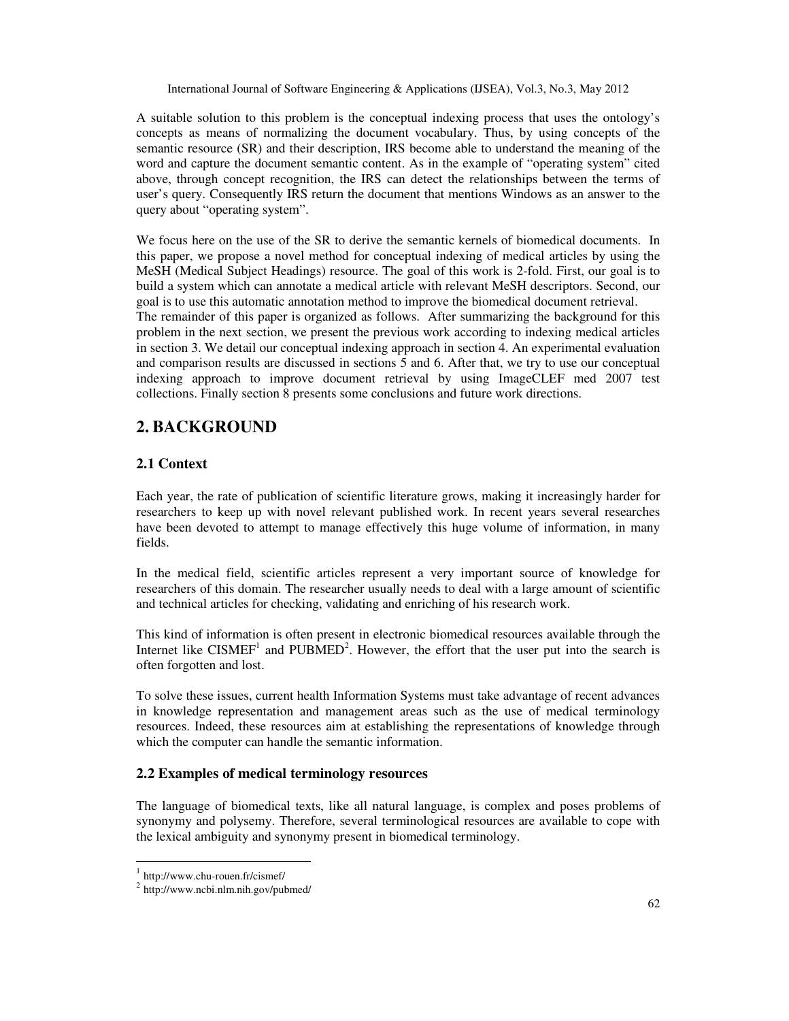A suitable solution to this problem is the conceptual indexing process that uses the ontology's concepts as means of normalizing the document vocabulary. Thus, by using concepts of the semantic resource (SR) and their description, IRS become able to understand the meaning of the word and capture the document semantic content. As in the example of "operating system" cited above, through concept recognition, the IRS can detect the relationships between the terms of user's query. Consequently IRS return the document that mentions Windows as an answer to the query about "operating system".

We focus here on the use of the SR to derive the semantic kernels of biomedical documents. In this paper, we propose a novel method for conceptual indexing of medical articles by using the MeSH (Medical Subject Headings) resource. The goal of this work is 2-fold. First, our goal is to build a system which can annotate a medical article with relevant MeSH descriptors. Second, our goal is to use this automatic annotation method to improve the biomedical document retrieval. The remainder of this paper is organized as follows. After summarizing the background for this problem in the next section, we present the previous work according to indexing medical articles in section 3. We detail our conceptual indexing approach in section 4. An experimental evaluation and comparison results are discussed in sections 5 and 6. After that, we try to use our conceptual indexing approach to improve document retrieval by using ImageCLEF med 2007 test collections. Finally section 8 presents some conclusions and future work directions.

# **2. BACKGROUND**

## **2.1 Context**

Each year, the rate of publication of scientific literature grows, making it increasingly harder for researchers to keep up with novel relevant published work. In recent years several researches have been devoted to attempt to manage effectively this huge volume of information, in many fields.

In the medical field, scientific articles represent a very important source of knowledge for researchers of this domain. The researcher usually needs to deal with a large amount of scientific and technical articles for checking, validating and enriching of his research work.

This kind of information is often present in electronic biomedical resources available through the Internet like  $CISMEF<sup>1</sup>$  and  $PUBMED<sup>2</sup>$ . However, the effort that the user put into the search is often forgotten and lost.

To solve these issues, current health Information Systems must take advantage of recent advances in knowledge representation and management areas such as the use of medical terminology resources. Indeed, these resources aim at establishing the representations of knowledge through which the computer can handle the semantic information.

#### **2.2 Examples of medical terminology resources**

The language of biomedical texts, like all natural language, is complex and poses problems of synonymy and polysemy. Therefore, several terminological resources are available to cope with the lexical ambiguity and synonymy present in biomedical terminology.

<sup>&</sup>lt;sup>1</sup> http://www.chu-rouen.fr/cismef/

<sup>&</sup>lt;sup>2</sup> http://www.ncbi.nlm.nih.gov/pubmed/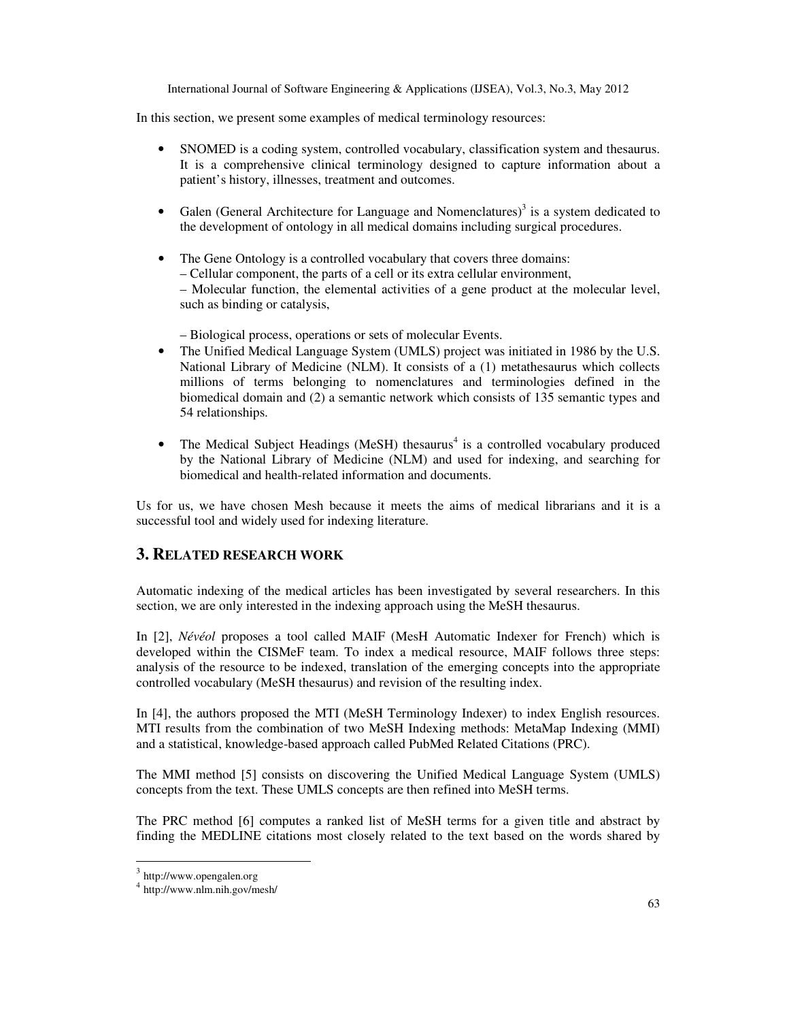In this section, we present some examples of medical terminology resources:

- SNOMED is a coding system, controlled vocabulary, classification system and thesaurus. It is a comprehensive clinical terminology designed to capture information about a patient's history, illnesses, treatment and outcomes.
- Galen (General Architecture for Language and Nomenclatures)<sup>3</sup> is a system dedicated to the development of ontology in all medical domains including surgical procedures.
- The Gene Ontology is a controlled vocabulary that covers three domains: – Cellular component, the parts of a cell or its extra cellular environment, – Molecular function, the elemental activities of a gene product at the molecular level, such as binding or catalysis,

– Biological process, operations or sets of molecular Events.

- The Unified Medical Language System (UMLS) project was initiated in 1986 by the U.S. National Library of Medicine (NLM). It consists of a (1) metathesaurus which collects millions of terms belonging to nomenclatures and terminologies defined in the biomedical domain and (2) a semantic network which consists of 135 semantic types and 54 relationships.
- The Medical Subject Headings (MeSH) thesaurus<sup>4</sup> is a controlled vocabulary produced by the National Library of Medicine (NLM) and used for indexing, and searching for biomedical and health-related information and documents.

Us for us, we have chosen Mesh because it meets the aims of medical librarians and it is a successful tool and widely used for indexing literature.

# **3. RELATED RESEARCH WORK**

Automatic indexing of the medical articles has been investigated by several researchers. In this section, we are only interested in the indexing approach using the MeSH thesaurus.

In [2], *Névéol* proposes a tool called MAIF (MesH Automatic Indexer for French) which is developed within the CISMeF team. To index a medical resource, MAIF follows three steps: analysis of the resource to be indexed, translation of the emerging concepts into the appropriate controlled vocabulary (MeSH thesaurus) and revision of the resulting index.

In [4], the authors proposed the MTI (MeSH Terminology Indexer) to index English resources. MTI results from the combination of two MeSH Indexing methods: MetaMap Indexing (MMI) and a statistical, knowledge-based approach called PubMed Related Citations (PRC).

The MMI method [5] consists on discovering the Unified Medical Language System (UMLS) concepts from the text. These UMLS concepts are then refined into MeSH terms.

The PRC method [6] computes a ranked list of MeSH terms for a given title and abstract by finding the MEDLINE citations most closely related to the text based on the words shared by

 3 http://www.opengalen.org

<sup>4</sup> http://www.nlm.nih.gov/mesh/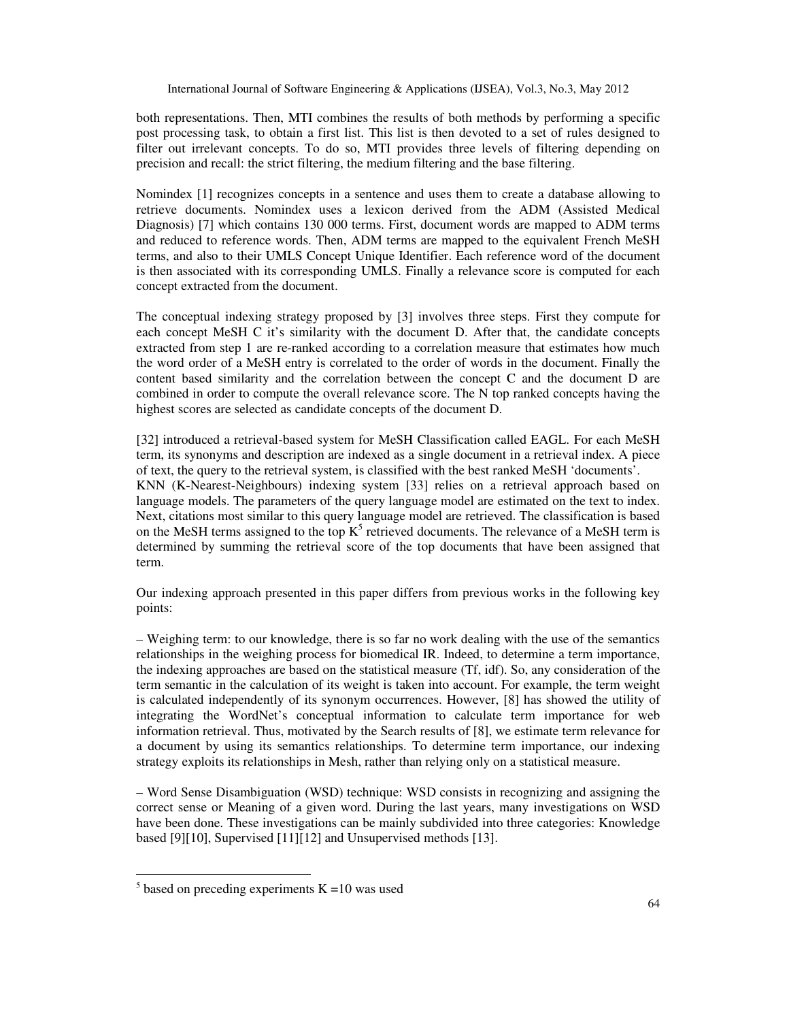both representations. Then, MTI combines the results of both methods by performing a specific post processing task, to obtain a first list. This list is then devoted to a set of rules designed to filter out irrelevant concepts. To do so, MTI provides three levels of filtering depending on precision and recall: the strict filtering, the medium filtering and the base filtering.

Nomindex [1] recognizes concepts in a sentence and uses them to create a database allowing to retrieve documents. Nomindex uses a lexicon derived from the ADM (Assisted Medical Diagnosis) [7] which contains 130 000 terms. First, document words are mapped to ADM terms and reduced to reference words. Then, ADM terms are mapped to the equivalent French MeSH terms, and also to their UMLS Concept Unique Identifier. Each reference word of the document is then associated with its corresponding UMLS. Finally a relevance score is computed for each concept extracted from the document.

The conceptual indexing strategy proposed by [3] involves three steps. First they compute for each concept MeSH C it's similarity with the document D. After that, the candidate concepts extracted from step 1 are re-ranked according to a correlation measure that estimates how much the word order of a MeSH entry is correlated to the order of words in the document. Finally the content based similarity and the correlation between the concept C and the document D are combined in order to compute the overall relevance score. The N top ranked concepts having the highest scores are selected as candidate concepts of the document D.

[32] introduced a retrieval-based system for MeSH Classification called EAGL. For each MeSH term, its synonyms and description are indexed as a single document in a retrieval index. A piece of text, the query to the retrieval system, is classified with the best ranked MeSH 'documents'. KNN (K-Nearest-Neighbours) indexing system [33] relies on a retrieval approach based on language models. The parameters of the query language model are estimated on the text to index. Next, citations most similar to this query language model are retrieved. The classification is based on the MeSH terms assigned to the top  $K^5$  retrieved documents. The relevance of a MeSH term is determined by summing the retrieval score of the top documents that have been assigned that term.

Our indexing approach presented in this paper differs from previous works in the following key points:

– Weighing term: to our knowledge, there is so far no work dealing with the use of the semantics relationships in the weighing process for biomedical IR. Indeed, to determine a term importance, the indexing approaches are based on the statistical measure (Tf, idf). So, any consideration of the term semantic in the calculation of its weight is taken into account. For example, the term weight is calculated independently of its synonym occurrences. However, [8] has showed the utility of integrating the WordNet's conceptual information to calculate term importance for web information retrieval. Thus, motivated by the Search results of [8], we estimate term relevance for a document by using its semantics relationships. To determine term importance, our indexing strategy exploits its relationships in Mesh, rather than relying only on a statistical measure.

– Word Sense Disambiguation (WSD) technique: WSD consists in recognizing and assigning the correct sense or Meaning of a given word. During the last years, many investigations on WSD have been done. These investigations can be mainly subdivided into three categories: Knowledge based [9][10], Supervised [11][12] and Unsupervised methods [13].

 $\ddot{\phantom{a}}$ 

 $5$  based on preceding experiments K =10 was used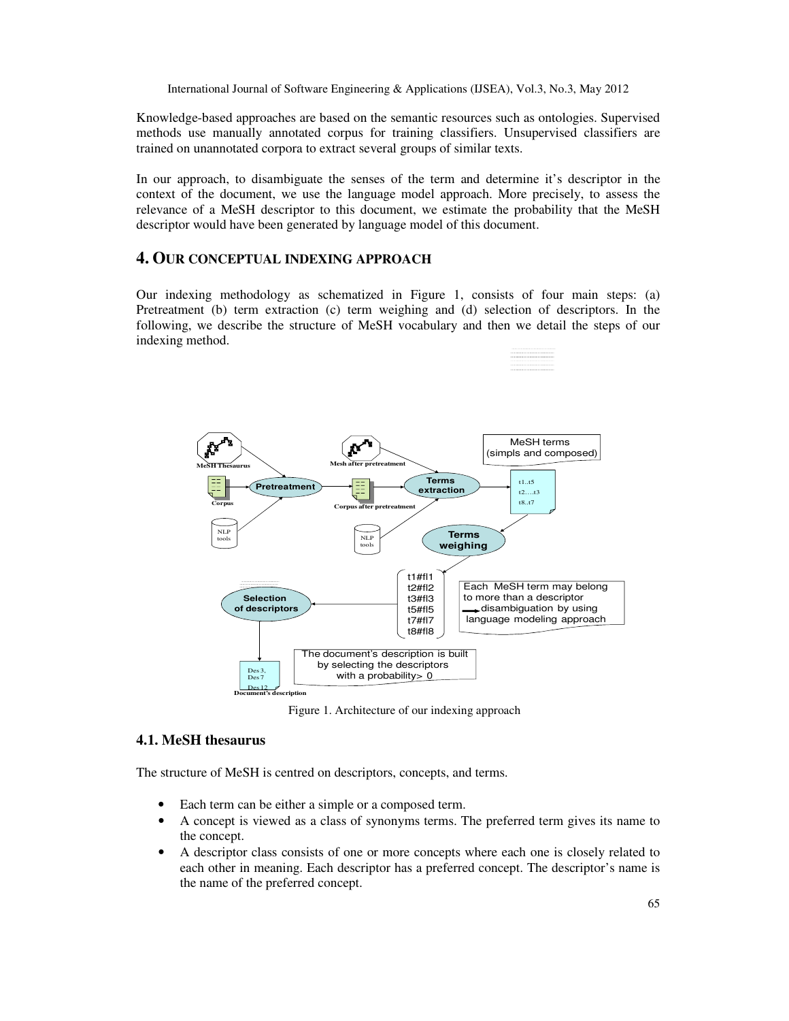Knowledge-based approaches are based on the semantic resources such as ontologies. Supervised methods use manually annotated corpus for training classifiers. Unsupervised classifiers are trained on unannotated corpora to extract several groups of similar texts.

In our approach, to disambiguate the senses of the term and determine it's descriptor in the context of the document, we use the language model approach. More precisely, to assess the relevance of a MeSH descriptor to this document, we estimate the probability that the MeSH descriptor would have been generated by language model of this document.

#### **4. OUR CONCEPTUAL INDEXING APPROACH**

Our indexing methodology as schematized in Figure 1, consists of four main steps: (a) Pretreatment (b) term extraction (c) term weighing and (d) selection of descriptors. In the following, we describe the structure of MeSH vocabulary and then we detail the steps of our indexing method.



Figure 1. Architecture of our indexing approach

# **4.1. MeSH thesaurus**

The structure of MeSH is centred on descriptors, concepts, and terms.

- Each term can be either a simple or a composed term.
- A concept is viewed as a class of synonyms terms. The preferred term gives its name to the concept.
- A descriptor class consists of one or more concepts where each one is closely related to each other in meaning. Each descriptor has a preferred concept. The descriptor's name is the name of the preferred concept.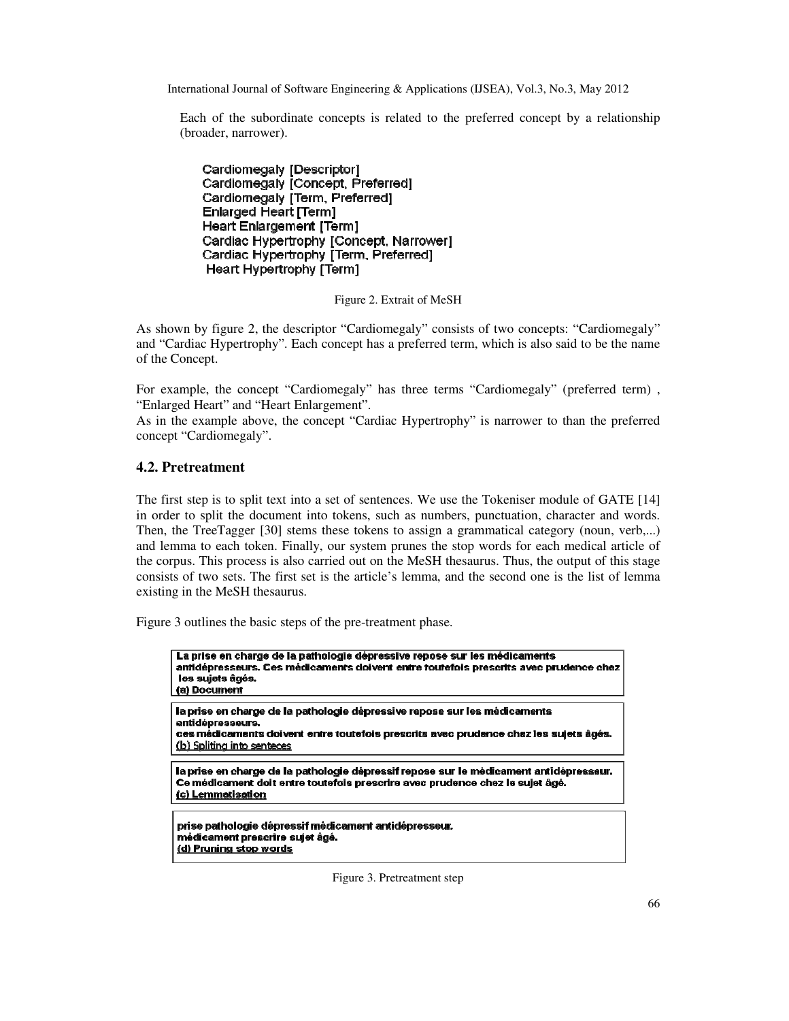Each of the subordinate concepts is related to the preferred concept by a relationship (broader, narrower).

Cardiomegaly [Descriptor] Cardiomegaly [Concept, Preferred] Cardiomegaly [Term, Preferred] Enlarged Heart [Term] Heart Enlargement [Term] Cardiac Hypertrophy [Concept, Narrower] Cardiac Hypertrophy [Term, Preferred] Heart Hypertrophy [Term]

Figure 2. Extrait of MeSH

As shown by figure 2, the descriptor "Cardiomegaly" consists of two concepts: "Cardiomegaly" and "Cardiac Hypertrophy". Each concept has a preferred term, which is also said to be the name of the Concept.

For example, the concept "Cardiomegaly" has three terms "Cardiomegaly" (preferred term) , "Enlarged Heart" and "Heart Enlargement".

As in the example above, the concept "Cardiac Hypertrophy" is narrower to than the preferred concept "Cardiomegaly".

## **4.2. Pretreatment**

The first step is to split text into a set of sentences. We use the Tokeniser module of GATE [14] in order to split the document into tokens, such as numbers, punctuation, character and words. Then, the TreeTagger [30] stems these tokens to assign a grammatical category (noun, verb,...) and lemma to each token. Finally, our system prunes the stop words for each medical article of the corpus. This process is also carried out on the MeSH thesaurus. Thus, the output of this stage consists of two sets. The first set is the article's lemma, and the second one is the list of lemma existing in the MeSH thesaurus.

Figure 3 outlines the basic steps of the pre-treatment phase.

| La prise en charge de la pathologie dépressive repose sur les médicaments<br>antidépresseurs. Ces médicaments doivent entre toutefois prescrits avec prudence chez<br>les sujets âgés.<br>(a) Document               |
|----------------------------------------------------------------------------------------------------------------------------------------------------------------------------------------------------------------------|
| la prise en charge de la pathologie dépressive repose sur les médicaments<br>antidépresseurs.<br>ces médicaments doivent entre toutefois prescrits avec prudence chez les sujets âgés.<br>(b) Spliting into senteces |
| la prise en charge de la pathologie dépressif repose sur le médicament antidépresseur.<br>Ce médicament doit entre toutefois prescrire avec prudence chez le sujet âgé.<br>(c) Lemmatisation                         |
| prise pathologie dépressif médicament antidépresseur.<br>médicament prescrire sujet âgé.<br>(d) Pruning stop words                                                                                                   |

Figure 3. Pretreatment step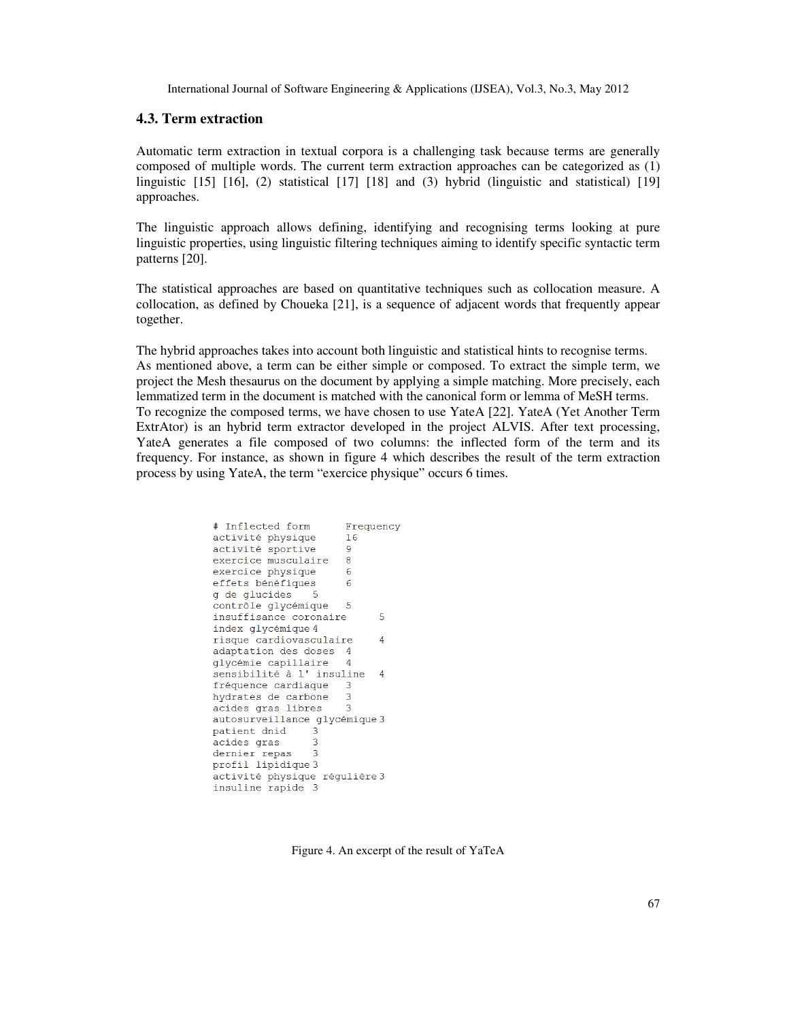#### **4.3. Term extraction**

Automatic term extraction in textual corpora is a challenging task because terms are generally composed of multiple words. The current term extraction approaches can be categorized as (1) linguistic [15] [16], (2) statistical [17] [18] and (3) hybrid (linguistic and statistical) [19] approaches.

The linguistic approach allows defining, identifying and recognising terms looking at pure linguistic properties, using linguistic filtering techniques aiming to identify specific syntactic term patterns [20].

The statistical approaches are based on quantitative techniques such as collocation measure. A collocation, as defined by Choueka [21], is a sequence of adjacent words that frequently appear together.

The hybrid approaches takes into account both linguistic and statistical hints to recognise terms. As mentioned above, a term can be either simple or composed. To extract the simple term, we project the Mesh thesaurus on the document by applying a simple matching. More precisely, each lemmatized term in the document is matched with the canonical form or lemma of MeSH terms. To recognize the composed terms, we have chosen to use YateA [22]. YateA (Yet Another Term ExtrAtor) is an hybrid term extractor developed in the project ALVIS. After text processing, YateA generates a file composed of two columns: the inflected form of the term and its frequency. For instance, as shown in figure 4 which describes the result of the term extraction process by using YateA, the term "exercice physique" occurs 6 times.

| # Inflected form              | Frequency |
|-------------------------------|-----------|
| activité physique             | 16        |
| activité sportive             | -9        |
| exercice musculaire           | 8         |
| exercice physique             | 6         |
| effets bénéfiques             | 6         |
| g de glucides<br>- 5          |           |
| contrôle glycémique           | 5         |
| insuffisance coronaire        | 5         |
| index glycémique 4            |           |
| risque cardiovasculaire       | 4         |
| adaptation des doses          | 4         |
| glycémie capillaire           | 4         |
| sensibilité à l'insuline      | 4         |
| fréquence cardiaque 3         |           |
| hydrates de carbone 3         |           |
| acides gras libres            | 3         |
| autosurveillance qlycémique 3 |           |
| patient dnid<br>3             |           |
| acides gras<br>3              |           |
| 3<br>dernier repas            |           |
| profil lipidique 3            |           |
| activité physique réqulière 3 |           |
| insuline rapide 3             |           |
|                               |           |

Figure 4. An excerpt of the result of YaTeA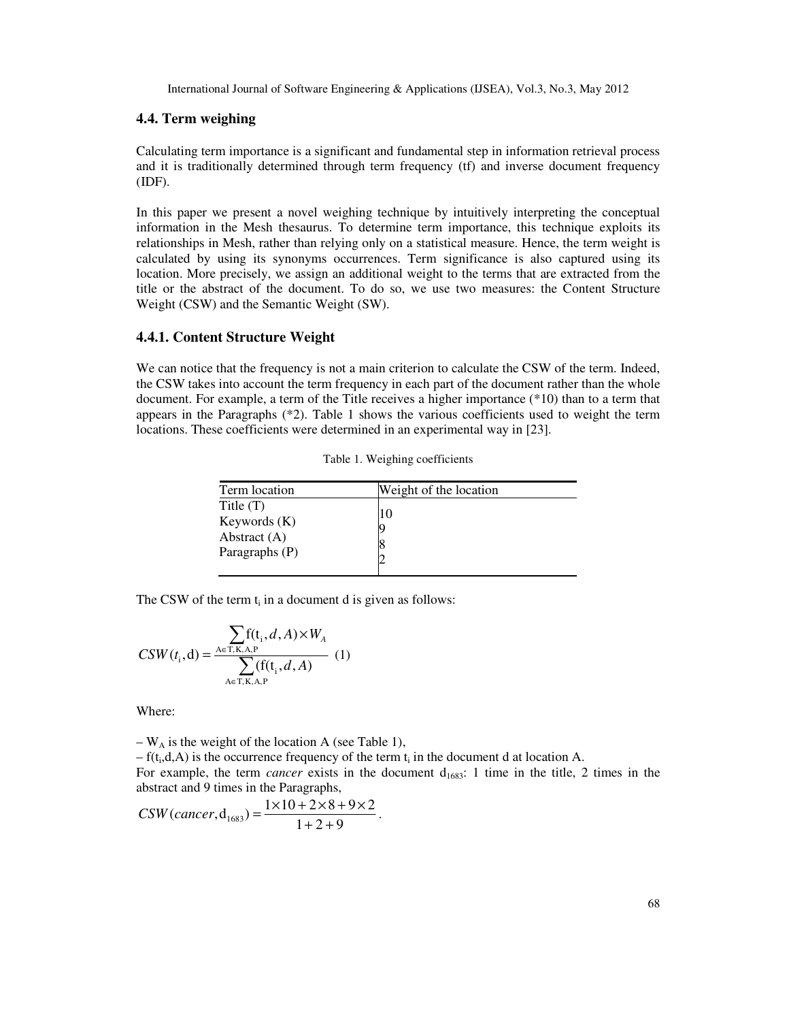#### **4.4. Term weighing**

Calculating term importance is a significant and fundamental step in information retrieval process and it is traditionally determined through term frequency (tf) and inverse document frequency (IDF).

In this paper we present a novel weighing technique by intuitively interpreting the conceptual information in the Mesh thesaurus. To determine term importance, this technique exploits its relationships in Mesh, rather than relying only on a statistical measure. Hence, the term weight is calculated by using its synonyms occurrences. Term significance is also captured using its location. More precisely, we assign an additional weight to the terms that are extracted from the title or the abstract of the document. To do so, we use two measures: the Content Structure Weight (CSW) and the Semantic Weight (SW).

#### **4.4.1. Content Structure Weight**

We can notice that the frequency is not a main criterion to calculate the CSW of the term. Indeed, the CSW takes into account the term frequency in each part of the document rather than the whole document. For example, a term of the Title receives a higher importance (\*10) than to a term that appears in the Paragraphs (\*2). Table 1 shows the various coefficients used to weight the term locations. These coefficients were determined in an experimental way in [23].

| Term location                                                     | Weight of the location |
|-------------------------------------------------------------------|------------------------|
| Title $(T)$<br>Keywords $(K)$<br>Abstract $(A)$<br>Paragraphs (P) | 10                     |

Table 1. Weighing coefficients

The CSW of the term  $t_i$  in a document d is given as follows:

$$
CSW(t_i, d) = \frac{\sum_{A \in T, K, A, P} f(t_i, d, A) \times W_A}{\sum_{A \in T, K, A, P} (f(t_i, d, A))}
$$
 (1)

Where:

 $-W_A$  is the weight of the location A (see Table 1),

 $-f(t_i,d,A)$  is the occurrence frequency of the term  $t_i$  in the document d at location A.

For example, the term *cancer* exists in the document d<sub>1683</sub>: 1 time in the title, 2 times in the abstract and 9 times in the Paragraphs,

$$
CSW (cancer, d_{1683}) = \frac{1 \times 10 + 2 \times 8 + 9 \times 2}{1 + 2 + 9}.
$$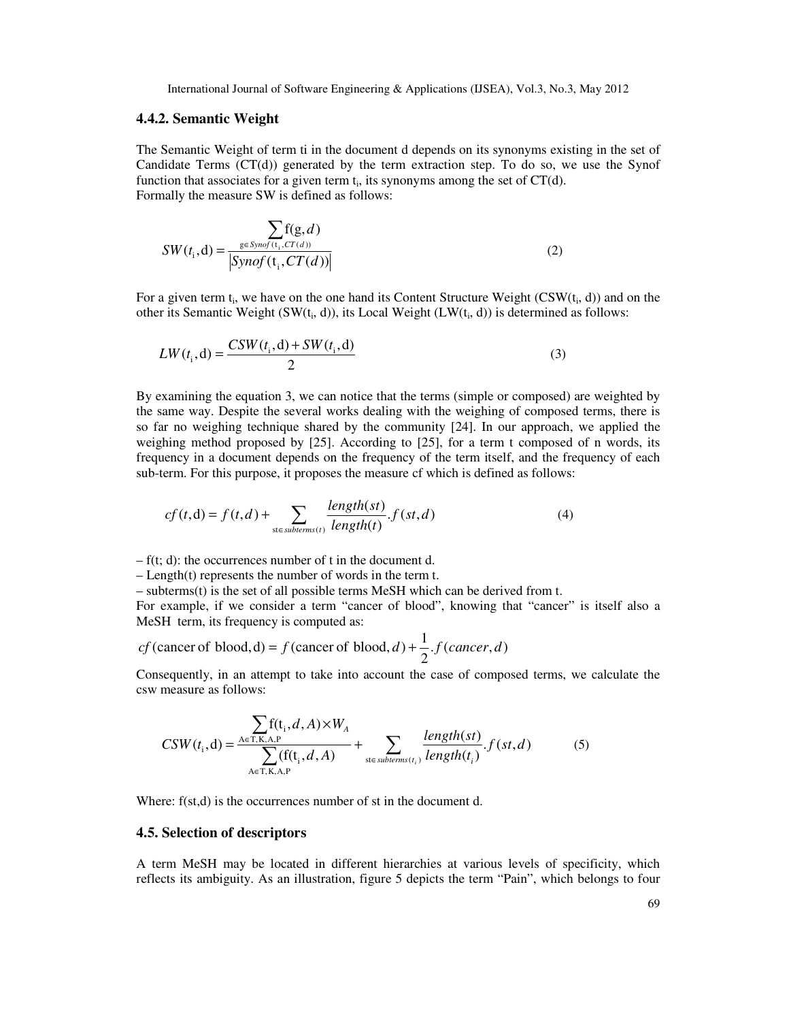#### **4.4.2. Semantic Weight**

The Semantic Weight of term ti in the document d depends on its synonyms existing in the set of Candidate Terms  $(CT(d))$  generated by the term extraction step. To do so, we use the Synof function that associates for a given term  $t_i$ , its synonyms among the set of  $CT(d)$ . Formally the measure SW is defined as follows:

$$
SW(t_i, d) = \frac{\sum_{g \in Symg(t_i, CT(d))}}{|Symg(t_i, CT(d))|}
$$
(2)

For a given term  $t_i$ , we have on the one hand its Content Structure Weight (CSW( $t_i$ , d)) and on the other its Semantic Weight  $(SW(t_i, d))$ , its Local Weight  $(LW(t_i, d))$  is determined as follows:

$$
LW(t_i, d) = \frac{CSW(t_i, d) + SW(t_i, d)}{2}
$$
\n(3)

By examining the equation 3, we can notice that the terms (simple or composed) are weighted by the same way. Despite the several works dealing with the weighing of composed terms, there is so far no weighing technique shared by the community [24]. In our approach, we applied the weighing method proposed by [25]. According to [25], for a term t composed of n words, its frequency in a document depends on the frequency of the term itself, and the frequency of each sub-term. For this purpose, it proposes the measure cf which is defined as follows:

$$
cf(t,d) = f(t,d) + \sum_{\text{st} \in \text{subterms}(t)} \frac{\text{length(st)}}{\text{length(t)}} . f(st,d) \tag{4}
$$

 $- f(t; d)$ : the occurrences number of t in the document d.

– Length(t) represents the number of words in the term t.

– subterms(t) is the set of all possible terms MeSH which can be derived from t.

For example, if we consider a term "cancer of blood", knowing that "cancer" is itself also a MeSH term, its frequency is computed as:

*cf* (cancer of blood, d) = 
$$
f
$$
 (cancer of blood, d) +  $\frac{1}{2}$ .  $f$  (cancer, d)

Consequently, in an attempt to take into account the case of composed terms, we calculate the csw measure as follows:

$$
CSW(t_i, d) = \frac{\sum_{A \in T, K, A, P} f(t_i, d, A) \times W_A}{\sum_{A \in T, K, A, P} (f(t_i, d, A))} + \sum_{\text{st} \in subterms(t_i)} \frac{length(st)}{length(t_i)} \cdot f(st, d)
$$
(5)

Where:  $f(st,d)$  is the occurrences number of st in the document d.

#### **4.5. Selection of descriptors**

A term MeSH may be located in different hierarchies at various levels of specificity, which reflects its ambiguity. As an illustration, figure 5 depicts the term "Pain", which belongs to four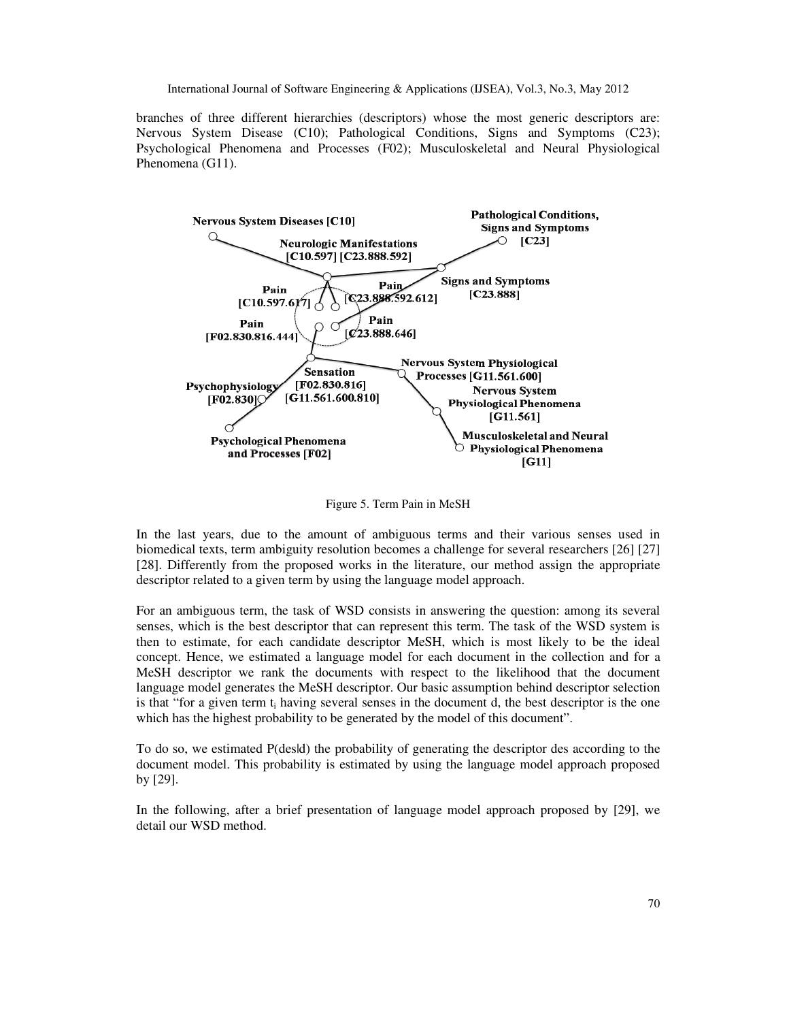branches of three different hierarchies (descriptors) whose the most generic descriptors are: Nervous System Disease (C10); Pathological Conditions, Signs and Symptoms (C23); Psychological Phenomena and Processes (F02); Musculoskeletal and Neural Physiological Phenomena (G11).



Figure 5. Term Pain in MeSH

In the last years, due to the amount of ambiguous terms and their various senses used in biomedical texts, term ambiguity resolution becomes a challenge for several researchers [26] [27] [28]. Differently from the proposed works in the literature, our method assign the appropriate descriptor related to a given term by using the language model approach.

For an ambiguous term, the task of WSD consists in answering the question: among its several senses, which is the best descriptor that can represent this term. The task of the WSD system is then to estimate, for each candidate descriptor MeSH, which is most likely to be the ideal concept. Hence, we estimated a language model for each document in the collection and for a MeSH descriptor we rank the documents with respect to the likelihood that the document language model generates the MeSH descriptor. Our basic assumption behind descriptor selection is that "for a given term  $t_i$  having several senses in the document d, the best descriptor is the one which has the highest probability to be generated by the model of this document".

To do so, we estimated P(desid) the probability of generating the descriptor des according to the document model. This probability is estimated by using the language model approach proposed by [29].

In the following, after a brief presentation of language model approach proposed by [29], we detail our WSD method.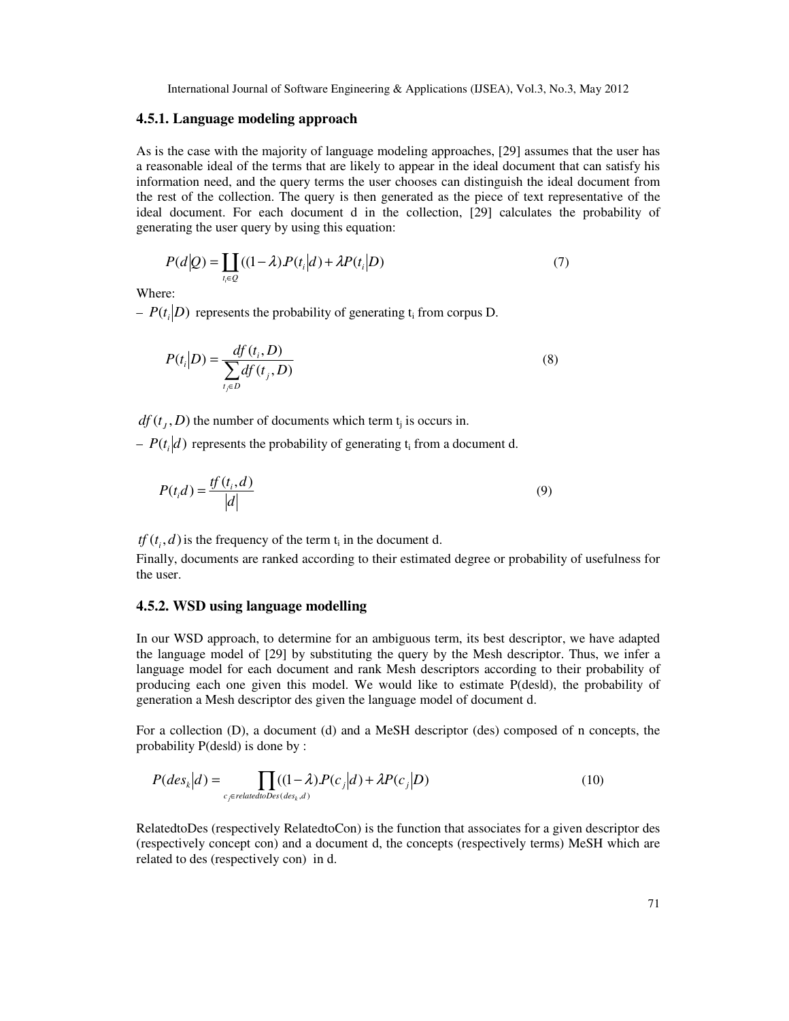#### **4.5.1. Language modeling approach**

As is the case with the majority of language modeling approaches, [29] assumes that the user has a reasonable ideal of the terms that are likely to appear in the ideal document that can satisfy his information need, and the query terms the user chooses can distinguish the ideal document from the rest of the collection. The query is then generated as the piece of text representative of the ideal document. For each document d in the collection, [29] calculates the probability of generating the user query by using this equation:

$$
P(d|Q) = \prod_{t_i \in Q} ((1 - \lambda)P(t_i|d) + \lambda P(t_i|D)
$$
\n<sup>(7)</sup>

Where:

 $-P(t_i|D)$  represents the probability of generating  $t_i$  from corpus D.

$$
P(t_i|D) = \frac{df(t_i, D)}{\sum_{t_j \in D} df(t_j, D)}
$$
\n
$$
(8)
$$

 $df(t_j, D)$  the number of documents which term  $t_j$  is occurs in.

 $-P(t_i|d)$  represents the probability of generating  $t_i$  from a document d.

$$
P(t_i d) = \frac{tf(t_i, d)}{|d|} \tag{9}
$$

*tf*  $(t_i, d)$  is the frequency of the term  $t_i$  in the document d.

Finally, documents are ranked according to their estimated degree or probability of usefulness for the user.

#### **4.5.2. WSD using language modelling**

In our WSD approach, to determine for an ambiguous term, its best descriptor, we have adapted the language model of [29] by substituting the query by the Mesh descriptor. Thus, we infer a language model for each document and rank Mesh descriptors according to their probability of producing each one given this model. We would like to estimate P(des|d), the probability of generation a Mesh descriptor des given the language model of document d.

For a collection (D), a document (d) and a MeSH descriptor (des) composed of n concepts, the probability P(des|d) is done by :

$$
P(degk|d) = \prod_{c_j \in relatedtoDes(ds_k, d)} ((1 - \lambda)P(c_j|d) + \lambda P(c_j|D)
$$
\n(10)

RelatedtoDes (respectively RelatedtoCon) is the function that associates for a given descriptor des (respectively concept con) and a document d, the concepts (respectively terms) MeSH which are related to des (respectively con) in d.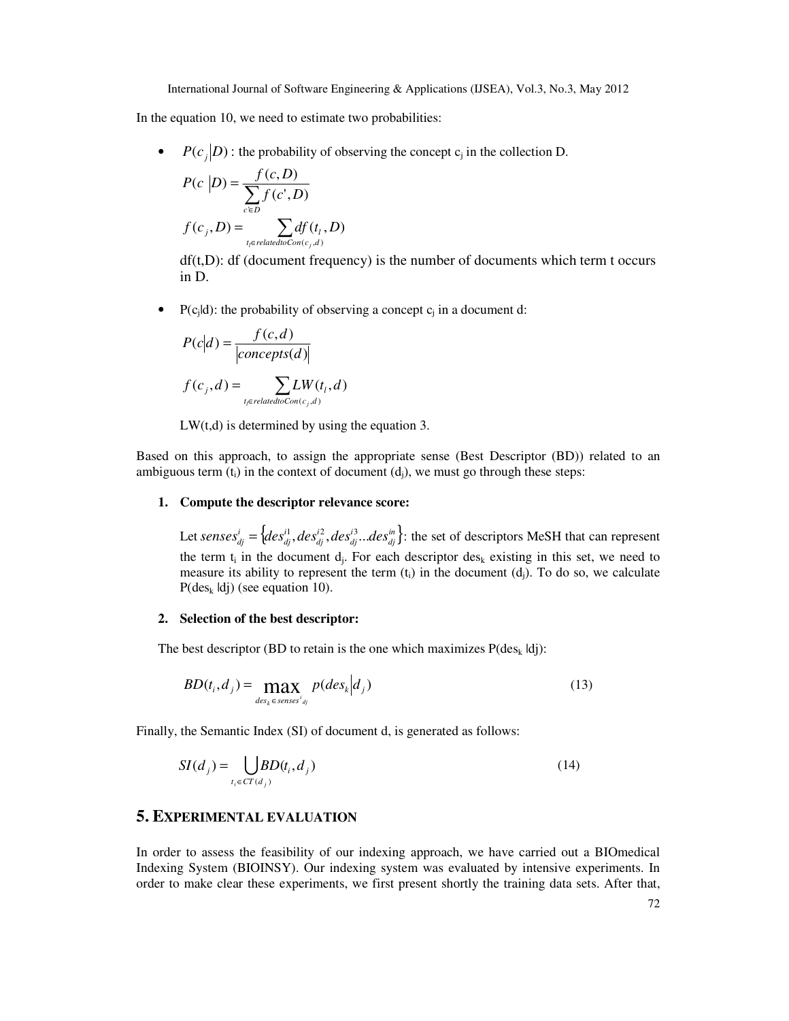In the equation 10, we need to estimate two probabilities:

•  $P(c_j|D)$ : the probability of observing the concept  $c_j$  in the collection D.

$$
P(c | D) = \frac{f(c, D)}{\sum_{c \in D} f(c', D)}
$$

$$
f(c_j, D) = \sum_{t_i \in relatedto Con(c_j, d)} df(t_i, D)
$$

 $df(t,D)$ : df (document frequency) is the number of documents which term t occurs in D.

• P(c<sub>j</sub>ld): the probability of observing a concept  $c_j$  in a document d:

$$
P(c|d) = \frac{f(c,d)}{|\text{concepts}(d)|}
$$
  

$$
f(c_j, d) = \sum_{t_j \in \text{relatedtoCon}(c_i, d)} LW(t_j, d)
$$

 $LW(t,d)$  is determined by using the equation 3.

 $(c_j, d)$ 

Based on this approach, to assign the appropriate sense (Best Descriptor (BD)) related to an ambiguous term  $(t_i)$  in the context of document  $(d_i)$ , we must go through these steps:

#### **1. Compute the descriptor relevance score:**

*t relatedtoCon c d*

*l j*

Let *senses*<sup>*i*</sup><sub>dj</sub> = { $des_{dj}^{i1}$ ,  $des_{dj}^{i2}$ ,  $des_{dj}^{i3}$ ... $des_{dj}^{in}$ }: the set of descriptors MeSH that can represent the term  $t_i$  in the document  $d_j$ . For each descriptor  $des_k$  existing in this set, we need to measure its ability to represent the term  $(t_i)$  in the document  $(d_i)$ . To do so, we calculate  $P(des_k \mid d_i)$  (see equation 10).

#### **2. Selection of the best descriptor:**

The best descriptor (BD to retain is the one which maximizes  $P(\text{des}_k | d_i)$ :

$$
BD(t_i, d_j) = \max_{des_k \in \text{ senses}^i_{dg}} p(deg_k | d_j)
$$
\n(13)

Finally, the Semantic Index (SI) of document d, is generated as follows:

$$
SI(d_j) = \bigcup_{t_i \in CT(d_j)} BD(t_i, d_j) \tag{14}
$$

# **5. EXPERIMENTAL EVALUATION**

In order to assess the feasibility of our indexing approach, we have carried out a BIOmedical Indexing System (BIOINSY). Our indexing system was evaluated by intensive experiments. In order to make clear these experiments, we first present shortly the training data sets. After that,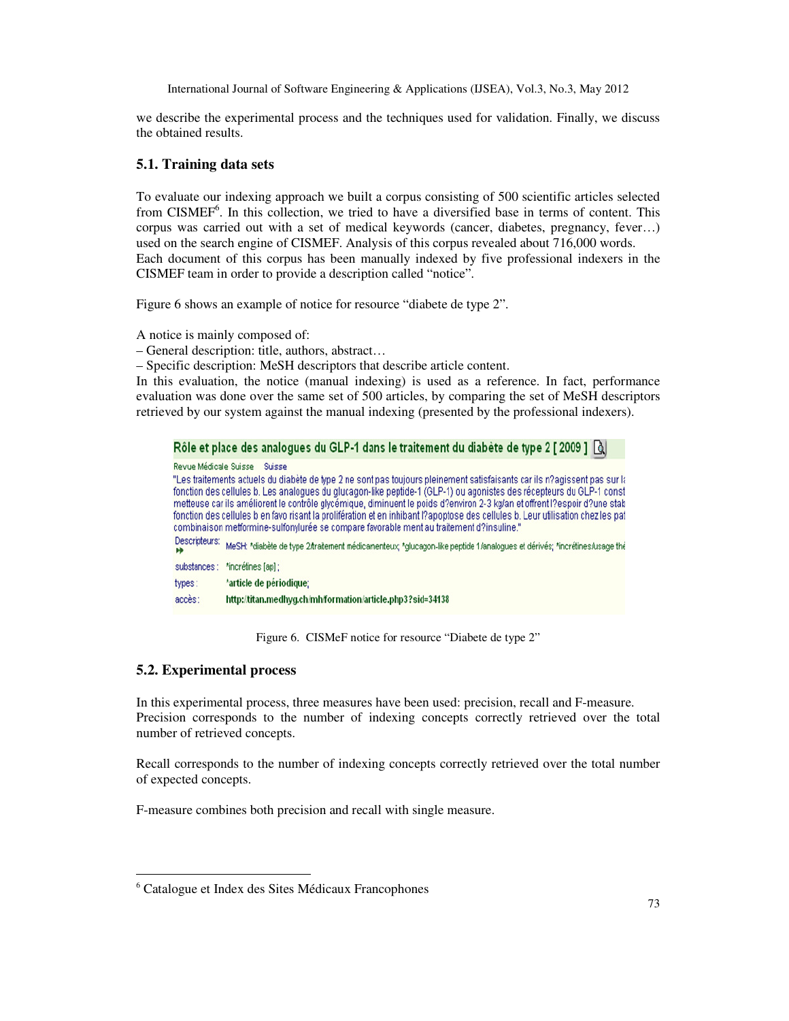we describe the experimental process and the techniques used for validation. Finally, we discuss the obtained results.

#### **5.1. Training data sets**

To evaluate our indexing approach we built a corpus consisting of 500 scientific articles selected from CISMEF<sup>6</sup>. In this collection, we tried to have a diversified base in terms of content. This corpus was carried out with a set of medical keywords (cancer, diabetes, pregnancy, fever…) used on the search engine of CISMEF. Analysis of this corpus revealed about 716,000 words. Each document of this corpus has been manually indexed by five professional indexers in the CISMEF team in order to provide a description called "notice".

Figure 6 shows an example of notice for resource "diabete de type 2".

A notice is mainly composed of:

– General description: title, authors, abstract…

– Specific description: MeSH descriptors that describe article content.

In this evaluation, the notice (manual indexing) is used as a reference. In fact, performance evaluation was done over the same set of 500 articles, by comparing the set of MeSH descriptors retrieved by our system against the manual indexing (presented by the professional indexers).

| Rôle et place des analogues du GLP-1 dans le traitement du diabète de type 2 [2009 ] [call                                                                                                                                                                                                                                                                                                                                                                                                                                                                                                                                                       |
|--------------------------------------------------------------------------------------------------------------------------------------------------------------------------------------------------------------------------------------------------------------------------------------------------------------------------------------------------------------------------------------------------------------------------------------------------------------------------------------------------------------------------------------------------------------------------------------------------------------------------------------------------|
| Revue Médicale Suisse<br>Suisse<br>"Les traitements actuels du diabète de type 2 ne sont pas toujours pleinement satisfaisants car ils n?agissent pas sur la<br>fonction des cellules b. Les analogues du glucagon-like peptide-1 (GLP-1) ou agonistes des récepteurs du GLP-1 const<br>metteuse car ils améliorent le contrôle glycémique, diminuent le poids d?environ 2-3 kg/an et offrent l?espoir d?une stab<br>fonction des cellules b en favo risant la prolifération et en inhibant l?apoptose des cellules b. Leur utilisation chez les pat<br>combinaison metformine-sulfonylurée se compare favorable ment au traitement d?insuline." |
| Descripteurs:<br>MeSH: *diabète de type 2/traitement médicamenteux; *glucagon-like peptide 1/analogues et dérivés; *incrétines/usage thé<br>ю                                                                                                                                                                                                                                                                                                                                                                                                                                                                                                    |
| *incrétines [ap] ;<br>substances:                                                                                                                                                                                                                                                                                                                                                                                                                                                                                                                                                                                                                |
| 'article de périodique;<br>types:                                                                                                                                                                                                                                                                                                                                                                                                                                                                                                                                                                                                                |
| accès:<br>http://titan.medhyg.ch/mh/formation/article.php3?sid=34138                                                                                                                                                                                                                                                                                                                                                                                                                                                                                                                                                                             |

Figure 6. CISMeF notice for resource "Diabete de type 2"

#### **5.2. Experimental process**

 $\ddot{\phantom{a}}$ 

In this experimental process, three measures have been used: precision, recall and F-measure. Precision corresponds to the number of indexing concepts correctly retrieved over the total number of retrieved concepts.

Recall corresponds to the number of indexing concepts correctly retrieved over the total number of expected concepts.

F-measure combines both precision and recall with single measure.

<sup>6</sup> Catalogue et Index des Sites Médicaux Francophones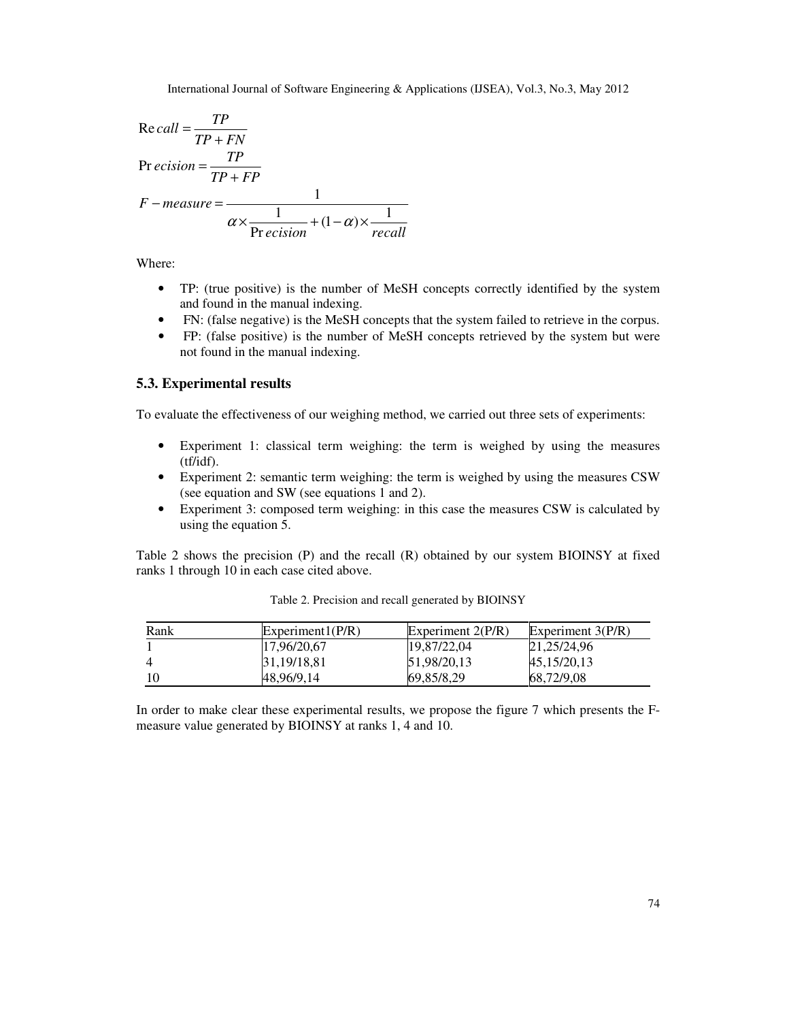$$
Re\,call = \frac{TP}{TP + FN}
$$
\n
$$
Pr\,ecision = \frac{TP}{TP + FP}
$$
\n
$$
F - measure = \frac{1}{\alpha \times \frac{1}{Precision} + (1 - \alpha) \times \frac{1}{recall}}
$$

Where:

- TP: (true positive) is the number of MeSH concepts correctly identified by the system and found in the manual indexing.
- FN: (false negative) is the MeSH concepts that the system failed to retrieve in the corpus.
- FP: (false positive) is the number of MeSH concepts retrieved by the system but were not found in the manual indexing.

## **5.3. Experimental results**

To evaluate the effectiveness of our weighing method, we carried out three sets of experiments:

- Experiment 1: classical term weighing: the term is weighed by using the measures (tf/idf).
- Experiment 2: semantic term weighing: the term is weighed by using the measures CSW (see equation and SW (see equations 1 and 2).
- Experiment 3: composed term weighing: in this case the measures CSW is calculated by using the equation 5.

Table 2 shows the precision (P) and the recall (R) obtained by our system BIOINSY at fixed ranks 1 through 10 in each case cited above.

| Rank | Experiment1(P/R) | Experiment $2(P/R)$ | Experiment $3(P/R)$ |
|------|------------------|---------------------|---------------------|
|      | 17.96/20.67      | 19.87/22.04         | 21,25/24,96         |
|      | 31,19/18,81      | 51.98/20.13         | 45,15/20,13         |
|      | 48.96/9.14       | 69,85/8,29          | 68,72/9,08          |

Table 2. Precision and recall generated by BIOINSY

In order to make clear these experimental results, we propose the figure 7 which presents the Fmeasure value generated by BIOINSY at ranks 1, 4 and 10.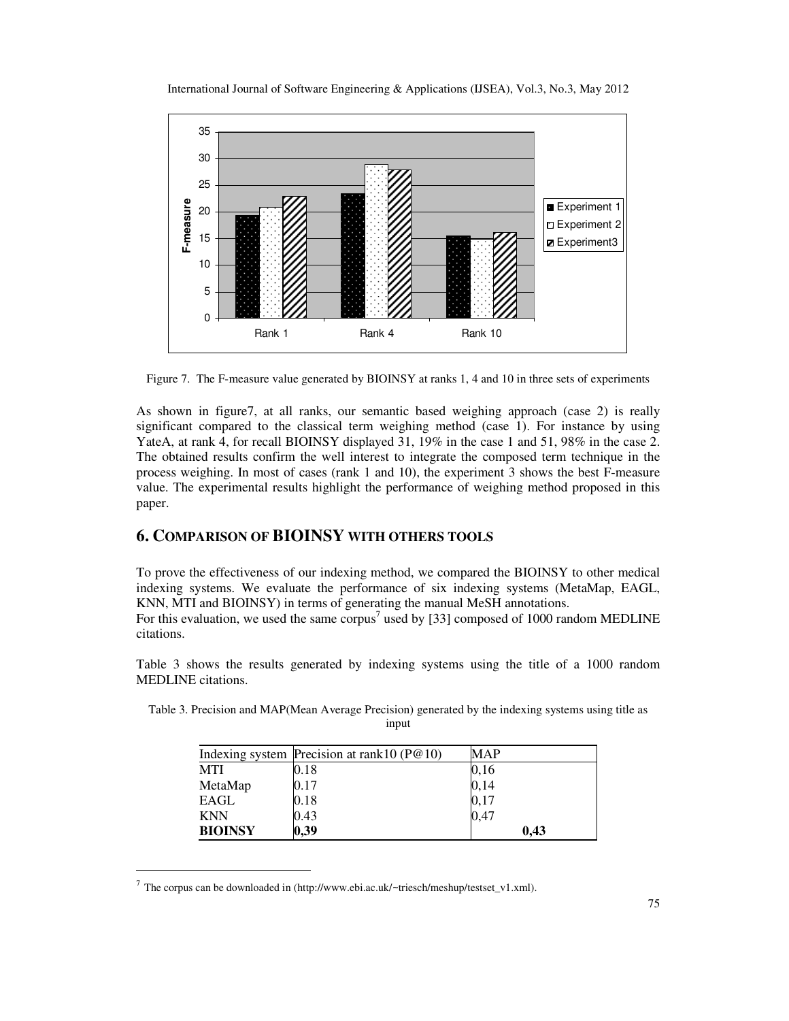

Figure 7. The F-measure value generated by BIOINSY at ranks 1, 4 and 10 in three sets of experiments

As shown in figure7, at all ranks, our semantic based weighing approach (case 2) is really significant compared to the classical term weighing method (case 1). For instance by using YateA, at rank 4, for recall BIOINSY displayed 31, 19% in the case 1 and 51, 98% in the case 2. The obtained results confirm the well interest to integrate the composed term technique in the process weighing. In most of cases (rank 1 and 10), the experiment 3 shows the best F-measure value. The experimental results highlight the performance of weighing method proposed in this paper.

# **6. COMPARISON OF BIOINSY WITH OTHERS TOOLS**

To prove the effectiveness of our indexing method, we compared the BIOINSY to other medical indexing systems. We evaluate the performance of six indexing systems (MetaMap, EAGL, KNN, MTI and BIOINSY) in terms of generating the manual MeSH annotations. For this evaluation, we used the same corpus<sup>7</sup> used by [33] composed of 1000 random MEDLINE citations.

Table 3 shows the results generated by indexing systems using the title of a 1000 random MEDLINE citations.

|                | Indexing system Precision at rank $10(P@10)$ | MAP  |
|----------------|----------------------------------------------|------|
| <b>MTI</b>     | 0.18                                         | 0,16 |
| MetaMap        | 0.17                                         | 0,14 |
| EAGL           | 0.18                                         | 0,17 |
| <b>KNN</b>     | 0.43                                         | 0,47 |
| <b>BIOINSY</b> | 0,39                                         | 0.43 |

Table 3. Precision and MAP(Mean Average Precision) generated by the indexing systems using title as input

 $\ddot{\phantom{a}}$ 

<sup>7</sup> The corpus can be downloaded in (http://www.ebi.ac.uk/∼triesch/meshup/testset\_v1.xml).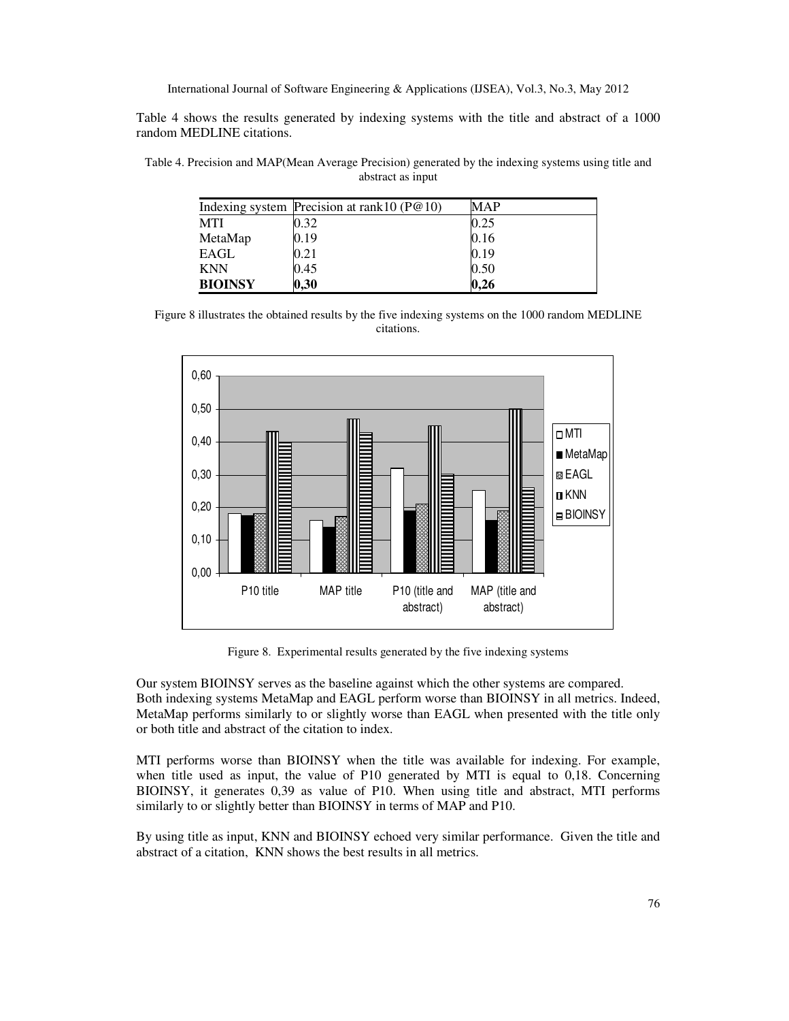Table 4 shows the results generated by indexing systems with the title and abstract of a 1000 random MEDLINE citations.

Table 4. Precision and MAP(Mean Average Precision) generated by the indexing systems using title and abstract as input

|                | Indexing system Precision at rank $10(P@10)$ | <b>MAP</b> |
|----------------|----------------------------------------------|------------|
| <b>MTI</b>     | 0.32                                         | 0.25       |
| MetaMap        | 0.19                                         | 0.16       |
| EAGL           | 0.21                                         | 0.19       |
| <b>KNN</b>     | 0.45                                         | 0.50       |
| <b>BIOINSY</b> | 0,30                                         | 0.26       |

Figure 8 illustrates the obtained results by the five indexing systems on the 1000 random MEDLINE citations.



Figure 8. Experimental results generated by the five indexing systems

Our system BIOINSY serves as the baseline against which the other systems are compared. Both indexing systems MetaMap and EAGL perform worse than BIOINSY in all metrics. Indeed, MetaMap performs similarly to or slightly worse than EAGL when presented with the title only or both title and abstract of the citation to index.

MTI performs worse than BIOINSY when the title was available for indexing. For example, when title used as input, the value of P10 generated by MTI is equal to 0,18. Concerning BIOINSY, it generates 0,39 as value of P10. When using title and abstract, MTI performs similarly to or slightly better than BIOINSY in terms of MAP and P10.

By using title as input, KNN and BIOINSY echoed very similar performance. Given the title and abstract of a citation, KNN shows the best results in all metrics.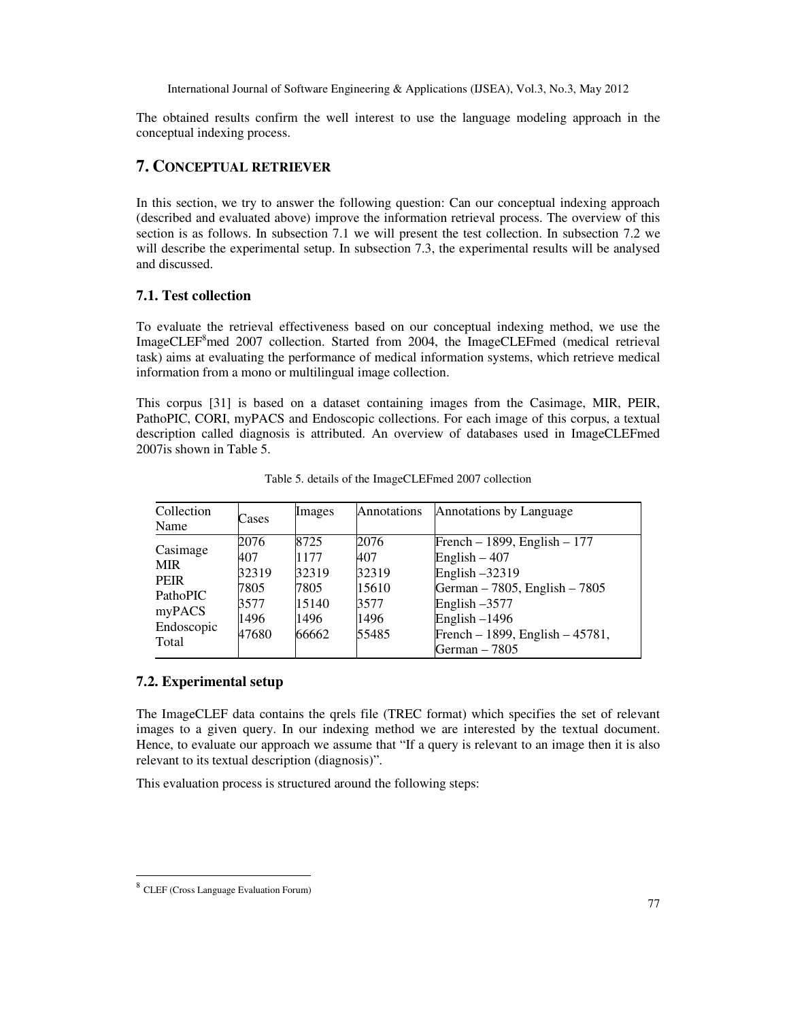The obtained results confirm the well interest to use the language modeling approach in the conceptual indexing process.

# **7. CONCEPTUAL RETRIEVER**

In this section, we try to answer the following question: Can our conceptual indexing approach (described and evaluated above) improve the information retrieval process. The overview of this section is as follows. In subsection 7.1 we will present the test collection. In subsection 7.2 we will describe the experimental setup. In subsection 7.3, the experimental results will be analysed and discussed.

#### **7.1. Test collection**

To evaluate the retrieval effectiveness based on our conceptual indexing method, we use the ImageCLEF<sup>8</sup>med 2007 collection. Started from 2004, the ImageCLEFmed (medical retrieval task) aims at evaluating the performance of medical information systems, which retrieve medical information from a mono or multilingual image collection.

This corpus [31] is based on a dataset containing images from the Casimage, MIR, PEIR, PathoPIC, CORI, myPACS and Endoscopic collections. For each image of this corpus, a textual description called diagnosis is attributed. An overview of databases used in ImageCLEFmed 2007is shown in Table 5.

| Collection<br>Name                                                                        | Cases                                                 | Images                                                  | Annotations                                            | Annotations by Language                                                                                                                                                                           |
|-------------------------------------------------------------------------------------------|-------------------------------------------------------|---------------------------------------------------------|--------------------------------------------------------|---------------------------------------------------------------------------------------------------------------------------------------------------------------------------------------------------|
| Casimage<br><b>MIR</b><br><b>PEIR</b><br><b>PathoPIC</b><br>myPACS<br>Endoscopic<br>Total | 2076<br>407<br>32319<br>7805<br>3577<br>1496<br>47680 | 8725<br>1177<br>32319<br>7805<br>15140<br>1496<br>66662 | 2076<br>407<br>32319<br>15610<br>3577<br>1496<br>55485 | French – 1899, English – 177<br>English $-407$<br>English $-32319$<br>German – 7805, English – 7805<br>English $-3577$<br>English $-1496$<br>French – 1899, English – $45781$ ,<br>German $-7805$ |

Table 5. details of the ImageCLEFmed 2007 collection

#### **7.2. Experimental setup**

The ImageCLEF data contains the qrels file (TREC format) which specifies the set of relevant images to a given query. In our indexing method we are interested by the textual document. Hence, to evaluate our approach we assume that "If a query is relevant to an image then it is also relevant to its textual description (diagnosis)".

This evaluation process is structured around the following steps:

 8 CLEF (Cross Language Evaluation Forum)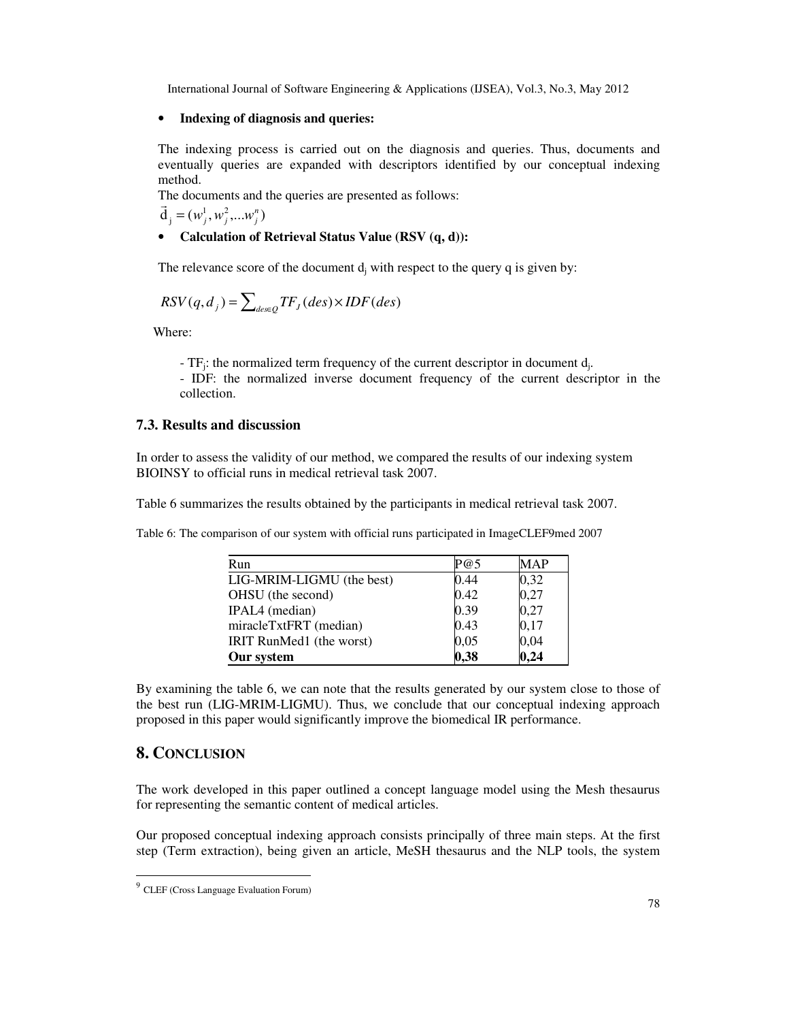### • **Indexing of diagnosis and queries:**

The indexing process is carried out on the diagnosis and queries. Thus, documents and eventually queries are expanded with descriptors identified by our conceptual indexing method.

The documents and the queries are presented as follows:

 $\vec{d}_j = (w_j^1, w_j^2, ... w_j^n)$ 

# • **Calculation of Retrieval Status Value (RSV (q, d)):**

The relevance score of the document  $d_j$  with respect to the query q is given by:

$$
RSV(q, d_j) = \sum_{des \in Q} TF_j (des) \times IDF (des)
$$

Where:

-  $TF_j$ : the normalized term frequency of the current descriptor in document  $d_j$ . - IDF: the normalized inverse document frequency of the current descriptor in the

collection.

## **7.3. Results and discussion**

In order to assess the validity of our method, we compared the results of our indexing system BIOINSY to official runs in medical retrieval task 2007.

Table 6 summarizes the results obtained by the participants in medical retrieval task 2007.

Table 6: The comparison of our system with official runs participated in ImageCLEF9med 2007

| Run                       | P@5  | MAP  |
|---------------------------|------|------|
| LIG-MRIM-LIGMU (the best) | 0.44 | 0,32 |
| OHSU (the second)         | 0.42 | 0,27 |
| IPAL4 (median)            | 0.39 | 0,27 |
| miracleTxtFRT (median)    | 0.43 | 0,17 |
| IRIT RunMed1 (the worst)  | 0,05 | 0,04 |
| Our system                | 0,38 | 0.24 |

By examining the table 6, we can note that the results generated by our system close to those of the best run (LIG-MRIM-LIGMU). Thus, we conclude that our conceptual indexing approach proposed in this paper would significantly improve the biomedical IR performance.

# **8. CONCLUSION**

The work developed in this paper outlined a concept language model using the Mesh thesaurus for representing the semantic content of medical articles.

Our proposed conceptual indexing approach consists principally of three main steps. At the first step (Term extraction), being given an article, MeSH thesaurus and the NLP tools, the system

 9 CLEF (Cross Language Evaluation Forum)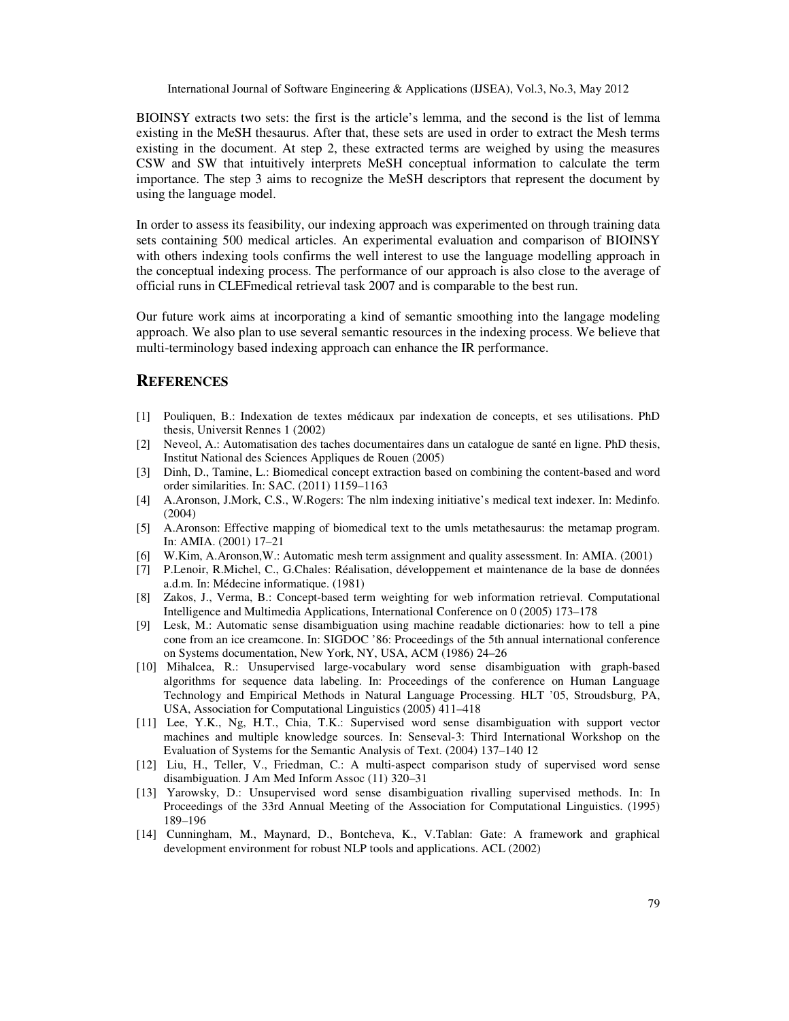BIOINSY extracts two sets: the first is the article's lemma, and the second is the list of lemma existing in the MeSH thesaurus. After that, these sets are used in order to extract the Mesh terms existing in the document. At step 2, these extracted terms are weighed by using the measures CSW and SW that intuitively interprets MeSH conceptual information to calculate the term importance. The step 3 aims to recognize the MeSH descriptors that represent the document by using the language model.

In order to assess its feasibility, our indexing approach was experimented on through training data sets containing 500 medical articles. An experimental evaluation and comparison of BIOINSY with others indexing tools confirms the well interest to use the language modelling approach in the conceptual indexing process. The performance of our approach is also close to the average of official runs in CLEFmedical retrieval task 2007 and is comparable to the best run.

Our future work aims at incorporating a kind of semantic smoothing into the langage modeling approach. We also plan to use several semantic resources in the indexing process. We believe that multi-terminology based indexing approach can enhance the IR performance.

# **REFERENCES**

- [1] Pouliquen, B.: Indexation de textes médicaux par indexation de concepts, et ses utilisations. PhD thesis, Universit Rennes 1 (2002)
- [2] Neveol, A.: Automatisation des taches documentaires dans un catalogue de santé en ligne. PhD thesis, Institut National des Sciences Appliques de Rouen (2005)
- [3] Dinh, D., Tamine, L.: Biomedical concept extraction based on combining the content-based and word order similarities. In: SAC. (2011) 1159–1163
- [4] A.Aronson, J.Mork, C.S., W.Rogers: The nlm indexing initiative's medical text indexer. In: Medinfo. (2004)
- [5] A.Aronson: Effective mapping of biomedical text to the umls metathesaurus: the metamap program. In: AMIA. (2001) 17–21
- [6] W.Kim, A.Aronson,W.: Automatic mesh term assignment and quality assessment. In: AMIA. (2001)
- [7] P.Lenoir, R.Michel, C., G.Chales: Réalisation, développement et maintenance de la base de données a.d.m. In: Médecine informatique. (1981)
- [8] Zakos, J., Verma, B.: Concept-based term weighting for web information retrieval. Computational Intelligence and Multimedia Applications, International Conference on 0 (2005) 173–178
- [9] Lesk, M.: Automatic sense disambiguation using machine readable dictionaries: how to tell a pine cone from an ice creamcone. In: SIGDOC '86: Proceedings of the 5th annual international conference on Systems documentation, New York, NY, USA, ACM (1986) 24–26
- [10] Mihalcea, R.: Unsupervised large-vocabulary word sense disambiguation with graph-based algorithms for sequence data labeling. In: Proceedings of the conference on Human Language Technology and Empirical Methods in Natural Language Processing. HLT '05, Stroudsburg, PA, USA, Association for Computational Linguistics (2005) 411–418
- [11] Lee, Y.K., Ng, H.T., Chia, T.K.: Supervised word sense disambiguation with support vector machines and multiple knowledge sources. In: Senseval-3: Third International Workshop on the Evaluation of Systems for the Semantic Analysis of Text. (2004) 137–140 12
- [12] Liu, H., Teller, V., Friedman, C.: A multi-aspect comparison study of supervised word sense disambiguation. J Am Med Inform Assoc (11) 320–31
- [13] Yarowsky, D.: Unsupervised word sense disambiguation rivalling supervised methods. In: In Proceedings of the 33rd Annual Meeting of the Association for Computational Linguistics. (1995) 189–196
- [14] Cunningham, M., Maynard, D., Bontcheva, K., V.Tablan: Gate: A framework and graphical development environment for robust NLP tools and applications. ACL (2002)